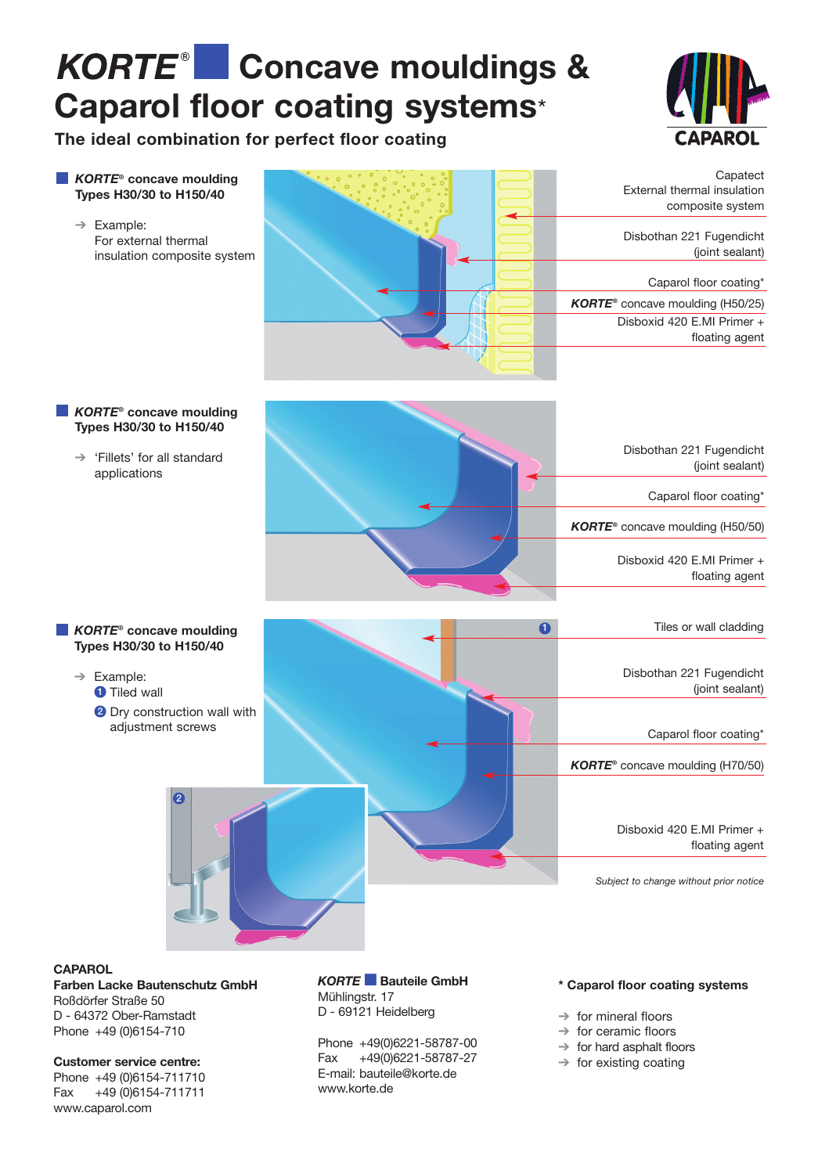# **KORTE<sup>®</sup> Concave mouldings & Caparol floor coating systems**\*

**The ideal combination for perfect floor coating**





#### *KORTE®* **concave moulding Types H30/30 to H150/40**

*KORTE®* **concave moulding Types H30/30 to H150/40**

For external thermal

➔ Example:

➔ 'Fillets' for all standard applications

➔ Example: **D** Tiled wall



### **CAPAROL**

**Farben Lacke Bautenschutz GmbH** Roßdörfer Straße 50 D - 64372 Ober-Ramstadt Phone +49 (0)6154-710

**Customer service centre:** Phone +49 (0)6154-711710 Fax +49 (0)6154-711711 www.caparol.com

*KORTE* ■ **Bauteile GmbH** Mühlingstr. 17 D - 69121 Heidelberg

Phone +49(0)6221-58787-00 Fax +49(0)6221-58787-27 E-mail: bauteile@korte.de www.korte.de

#### **\* Caparol floor coating systems**

- $\rightarrow$  for mineral floors
- $\rightarrow$  for ceramic floors
- $\rightarrow$  for hard asphalt floors
- $\rightarrow$  for existing coating